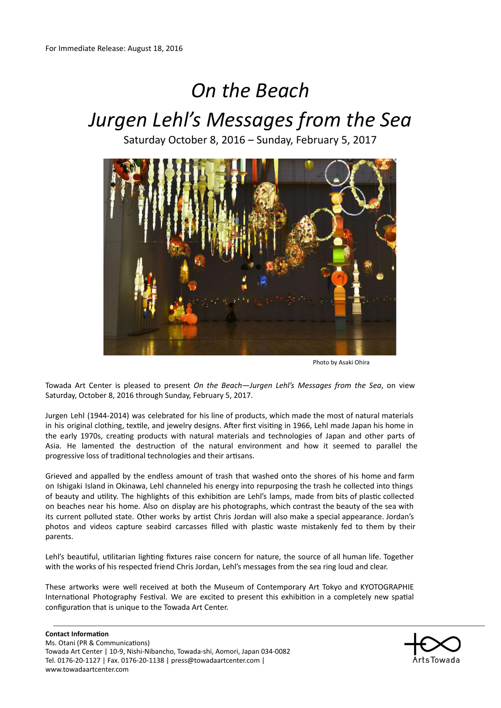# *On the Beach Jurgen Lehl's Messages from the Sea*

Saturday October 8, 2016 – Sunday, February 5, 2017



Photo by Asaki Ohira

Towada Art Center is pleased to present *On the Beach—Jurgen Lehl's Messages from the Sea*, on view Saturday, October 8, 2016 through Sunday, February 5, 2017.

Jurgen Lehl (1944‐2014) was celebrated for his line of products, which made the most of natural materials in his original clothing, textile, and jewelry designs. After first visiting in 1966, Lehl made Japan his home in the early 1970s, creating products with natural materials and technologies of Japan and other parts of Asia. He lamented the destruction of the natural environment and how it seemed to parallel the progressive loss of traditional technologies and their artisans.

Grieved and appalled by the endless amount of trash that washed onto the shores of his home and farm on Ishigaki Island in Okinawa, Lehl channeled his energy into repurposing the trash he collected into things of beauty and utility. The highlights of this exhibition are Lehl's lamps, made from bits of plastic collected on beaches near his home. Also on display are his photographs, which contrast the beauty of the sea with its current polluted state. Other works by artist Chris Jordan will also make a special appearance. Jordan's photos and videos capture seabird carcasses filled with plastic waste mistakenly fed to them by their parents.

Lehl's beautiful, utilitarian lighting fixtures raise concern for nature, the source of all human life. Together with the works of his respected friend Chris Jordan, Lehl's messages from the sea ring loud and clear.

These artworks were well received at both the Museum of Contemporary Art Tokyo and KYOTOGRAPHIE International Photography Festival. We are excited to present this exhibition in a completely new spatial configuration that is unique to the Towada Art Center.

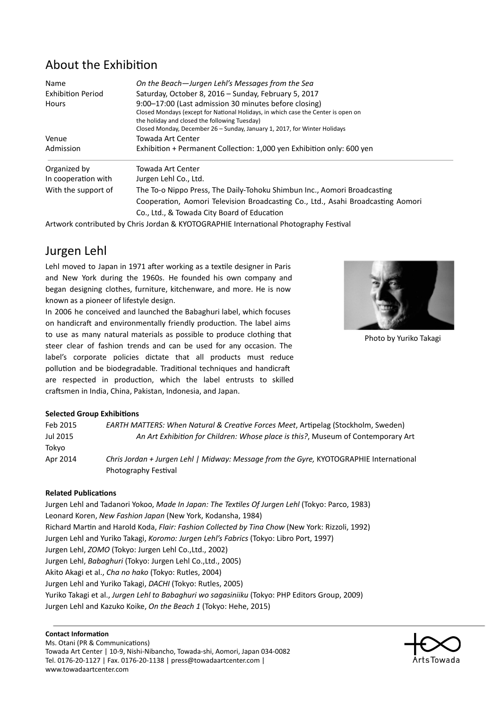### About the Exhibition

| Name                     | On the Beach-Jurgen Lehl's Messages from the Sea                                  |
|--------------------------|-----------------------------------------------------------------------------------|
| <b>Exhibition Period</b> | Saturday, October 8, 2016 - Sunday, February 5, 2017                              |
| Hours                    | 9:00–17:00 (Last admission 30 minutes before closing)                             |
|                          | Closed Mondays (except for National Holidays, in which case the Center is open on |
|                          | the holiday and closed the following Tuesday)                                     |
|                          | Closed Monday, December 26 - Sunday, January 1, 2017, for Winter Holidays         |
| Venue                    | Towada Art Center                                                                 |
| Admission                | Exhibition + Permanent Collection: 1,000 yen Exhibition only: 600 yen             |
| Organized by             | Towada Art Center                                                                 |
| In cooperation with      | Jurgen Lehl Co., Ltd.                                                             |
| With the support of      | The To-o Nippo Press, The Daily-Tohoku Shimbun Inc., Aomori Broadcasting          |
|                          | Cooperation, Aomori Television Broadcasting Co., Ltd., Asahi Broadcasting Aomori  |
|                          | Co., Ltd., & Towada City Board of Education                                       |

Artwork contributed by Chris Jordan & KYOTOGRAPHIE International Photography Festival

### Jurgen Lehl

Lehl moved to Japan in 1971 after working as a textile designer in Paris and New York during the 1960s. He founded his own company and began designing clothes, furniture, kitchenware, and more. He is now known as a pioneer of lifestyle design.

In 2006 he conceived and launched the Babaghuri label, which focuses on handicraft and environmentally friendly production. The label aims to use as many natural materials as possible to produce clothing that steer clear of fashion trends and can be used for any occasion. The label's corporate policies dictate that all products must reduce pollution and be biodegradable. Traditional techniques and handicraft are respected in production, which the label entrusts to skilled craftsmen in India, China, Pakistan, Indonesia, and Japan.



Photo by Yuriko Takagi

#### **Selected Group Exhibitions**

| Feb 2015 | <b>EARTH MATTERS: When Natural &amp; Creative Forces Meet, Artipelag (Stockholm, Sweden)</b> |
|----------|----------------------------------------------------------------------------------------------|
| Jul 2015 | An Art Exhibition for Children: Whose place is this?, Museum of Contemporary Art             |
| Tokyo    |                                                                                              |
| Apr 2014 | Chris Jordan + Jurgen Lehl   Midway: Message from the Gyre, KYOTOGRAPHIE International       |
|          | Photography Festival                                                                         |

#### **Related Publications**

Jurgen Lehl and Tadanori Yokoo, *Made In Japan: The Texles Of Jurgen Lehl* (Tokyo: Parco, 1983) Leonard Koren, *New Fashion Japan* (New York, Kodansha, 1984) Richard Marn and Harold Koda, *Flair: Fashion Collected by Tina Chow* (New York: Rizzoli, 1992) Jurgen Lehl and Yuriko Takagi, *Koromo: Jurgen Lehl's Fabrics* (Tokyo: Libro Port, 1997) Jurgen Lehl, *ZOMO* (Tokyo: Jurgen Lehl Co.,Ltd., 2002) Jurgen Lehl, *Babaghuri* (Tokyo: Jurgen Lehl Co.,Ltd., 2005) Akito Akagi et al., *Cha no hako* (Tokyo: Rutles, 2004) Jurgen Lehl and Yuriko Takagi, *DACHI* (Tokyo: Rutles, 2005) Yuriko Takagi et al., *Jurgen Lehl to Babaghuri wo sagasiniiku* (Tokyo: PHP Editors Group, 2009) Jurgen Lehl and Kazuko Koike, *On the Beach 1* (Tokyo: Hehe, 2015)

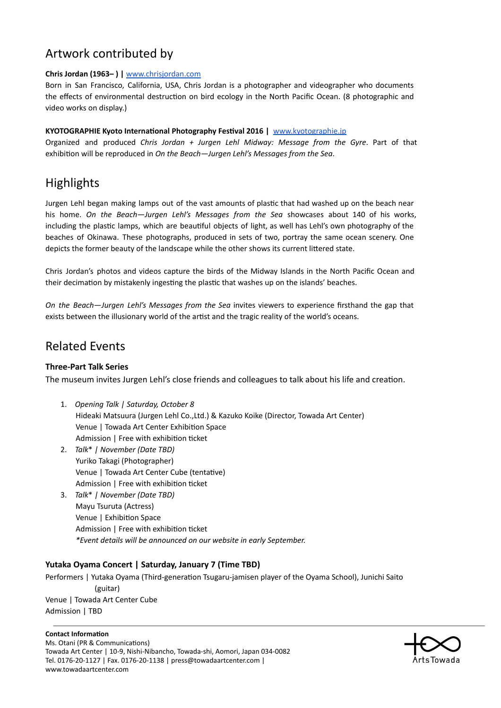### Artwork contributed by

#### **Chris Jordan (1963– ) |** [www.chrisjordan.com](http://www.chrisjordan.com/)

Born in San Francisco, California, USA, Chris Jordan is a photographer and videographer who documents the effects of environmental destruction on bird ecology in the North Pacific Ocean. (8 photographic and video works on display.)

#### **KYOTOGRAPHIE Kyoto International Photography Festival 2016 | [www.kyotographie.jp](http://www.kyotographie.jp/)**

Organized and produced *Chris Jordan + Jurgen Lehl Midway: Message from the Gyre*. Part of that exhibion will be reproduced in *On the Beach—Jurgen Lehl's Messages from the Sea*.

### **Highlights**

Jurgen Lehl began making lamps out of the vast amounts of plastic that had washed up on the beach near his home. *On the Beach—Jurgen Lehl's Messages from the Sea* showcases about 140 of his works, including the plastic lamps, which are beautiful objects of light, as well has Lehl's own photography of the beaches of Okinawa. These photographs, produced in sets of two, portray the same ocean scenery. One depicts the former beauty of the landscape while the other shows its current littered state.

Chris Jordan's photos and videos capture the birds of the Midway Islands in the North Pacific Ocean and their decimation by mistakenly ingesting the plastic that washes up on the islands' beaches.

*On the Beach—Jurgen Lehl's Messages from the Sea* invites viewers to experience firsthand the gap that exists between the illusionary world of the artist and the tragic reality of the world's oceans.

### Related Events

#### **Three‐Part Talk Series**

The museum invites Jurgen Lehl's close friends and colleagues to talk about his life and creation.

- 1. *Opening Talk | Saturday, October 8* Hideaki Matsuura (Jurgen Lehl Co.,Ltd.) & Kazuko Koike (Director, Towada Art Center) Venue | Towada Art Center Exhibition Space Admission | Free with exhibition ticket
- 2. *Talk*\* *| November (Date TBD)* Yuriko Takagi (Photographer) Venue | Towada Art Center Cube (tentative) Admission | Free with exhibition ticket
- 3. *Talk*\* *| November (Date TBD)* Mayu Tsuruta (Actress) Venue | Exhibition Space Admission | Free with exhibition ticket *\*Event details will be announced on our website in early September.*

#### **Yutaka Oyama Concert | Saturday, January 7 (Time TBD)**

Performers | Yutaka Oyama (Third-generation Tsugaru-jamisen player of the Oyama School), Junichi Saito (guitar) Venue | Towada Art Center Cube Admission | TBD

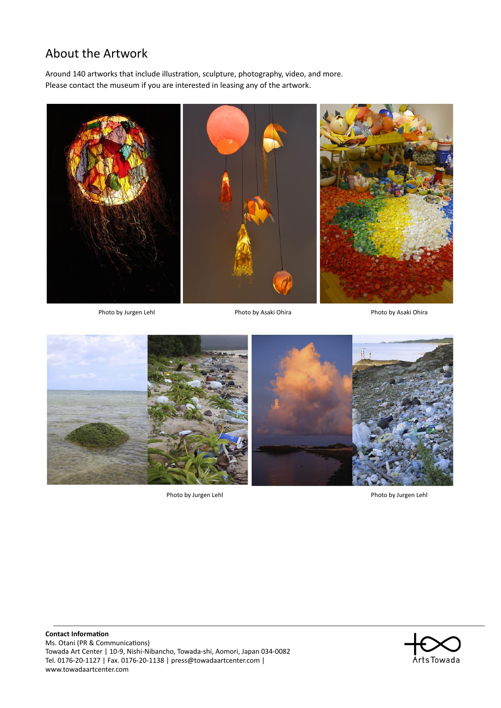## About the Artwork

Around 140 artworks that include illustration, sculpture, photography, video, and more. Please contact the museum if you are interested in leasing any of the artwork.



Photo by Jurgen Lehl Photo by Asaki Ohira Photo by Asaki Ohira Photo by Asaki Ohira



Photo by Jurgen Lehl **Photo by Jurgen Lehl**